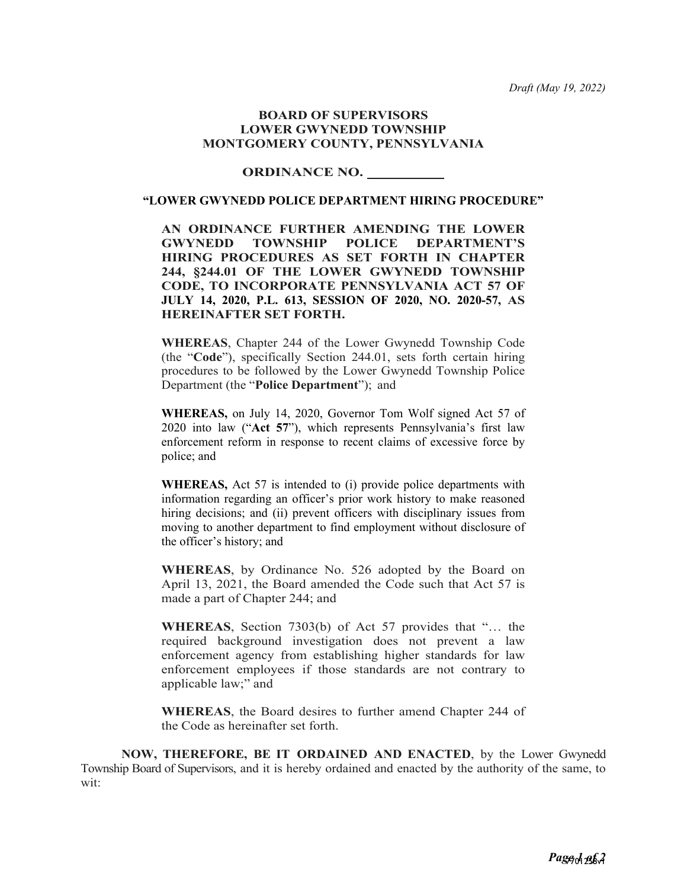*Draft (May 19, 2022)*

#### **BOARD OF SUPERVISORS LOWER GWYNEDD TOWNSHIP MONTGOMERY COUNTY, PENNSYLVANIA**

## **ORDINANCE NO.**

### **"LOWER GWYNEDD POLICE DEPARTMENT HIRING PROCEDURE"**

**AN ORDINANCE FURTHER AMENDING THE LOWER GWYNEDD TOWNSHIP POLICE DEPARTMENT'S HIRING PROCEDURES AS SET FORTH IN CHAPTER 244, §244.01 OF THE LOWER GWYNEDD TOWNSHIP CODE, TO INCORPORATE PENNSYLVANIA ACT 57 OF JULY 14, 2020, P.L. 613, SESSION OF 2020, NO. 2020-57, AS HEREINAFTER SET FORTH.**

**WHEREAS**, Chapter 244 of the Lower Gwynedd Township Code (the "**Code**"), specifically Section 244.01, sets forth certain hiring procedures to be followed by the Lower Gwynedd Township Police Department (the "**Police Department**"); and

**WHEREAS,** on July 14, 2020, Governor Tom Wolf signed Act 57 of 2020 into law ("**Act 57**"), which represents Pennsylvania's first law enforcement reform in response to recent claims of excessive force by police; and

**WHEREAS,** Act 57 is intended to (i) provide police departments with information regarding an officer's prior work history to make reasoned hiring decisions; and (ii) prevent officers with disciplinary issues from moving to another department to find employment without disclosure of the officer's history; and

**WHEREAS**, by Ordinance No. 526 adopted by the Board on April 13, 2021, the Board amended the Code such that Act 57 is made a part of Chapter 244; and

**WHEREAS**, Section 7303(b) of Act 57 provides that "… the required background investigation does not prevent a law enforcement agency from establishing higher standards for law enforcement employees if those standards are not contrary to applicable law;" and

**WHEREAS**, the Board desires to further amend Chapter 244 of the Code as hereinafter set forth.

**NOW, THEREFORE, BE IT ORDAINED AND ENACTED**, by the Lower Gwynedd Township Board of Supervisors, and it is hereby ordained and enacted by the authority of the same, to wit: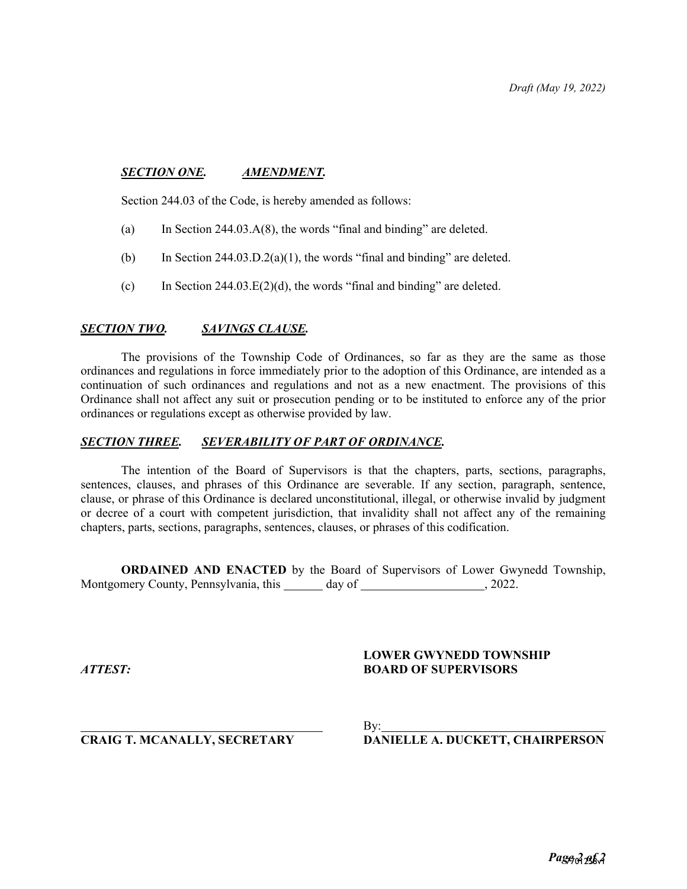## *SECTION ONE. AMENDMENT.*

Section 244.03 of the Code, is hereby amended as follows:

- (a) In Section 244.03.A(8), the words "final and binding" are deleted.
- (b) In Section 244.03.D.2(a)(1), the words "final and binding" are deleted.
- (c) In Section  $244.03.E(2)(d)$ , the words "final and binding" are deleted.

### *SECTION TWO. SAVINGS CLAUSE.*

The provisions of the Township Code of Ordinances, so far as they are the same as those ordinances and regulations in force immediately prior to the adoption of this Ordinance, are intended as a continuation of such ordinances and regulations and not as a new enactment. The provisions of this Ordinance shall not affect any suit or prosecution pending or to be instituted to enforce any of the prior ordinances or regulations except as otherwise provided by law.

## *SECTION THREE. SEVERABILITY OF PART OF ORDINANCE.*

The intention of the Board of Supervisors is that the chapters, parts, sections, paragraphs, sentences, clauses, and phrases of this Ordinance are severable. If any section, paragraph, sentence, clause, or phrase of this Ordinance is declared unconstitutional, illegal, or otherwise invalid by judgment or decree of a court with competent jurisdiction, that invalidity shall not affect any of the remaining chapters, parts, sections, paragraphs, sentences, clauses, or phrases of this codification.

**ORDAINED AND ENACTED** by the Board of Supervisors of Lower Gwynedd Township, Montgomery County, Pennsylvania, this \_\_\_\_\_\_ day of \_\_\_\_\_\_\_\_\_\_\_\_\_\_\_\_\_\_\_\_\_, 2022.

# **LOWER GWYNEDD TOWNSHIP** *ATTEST:* **BOARD OF SUPERVISORS**

By:

# **CRAIG T. MCANALLY, SECRETARY DANIELLE A. DUCKETT, CHAIRPERSON**